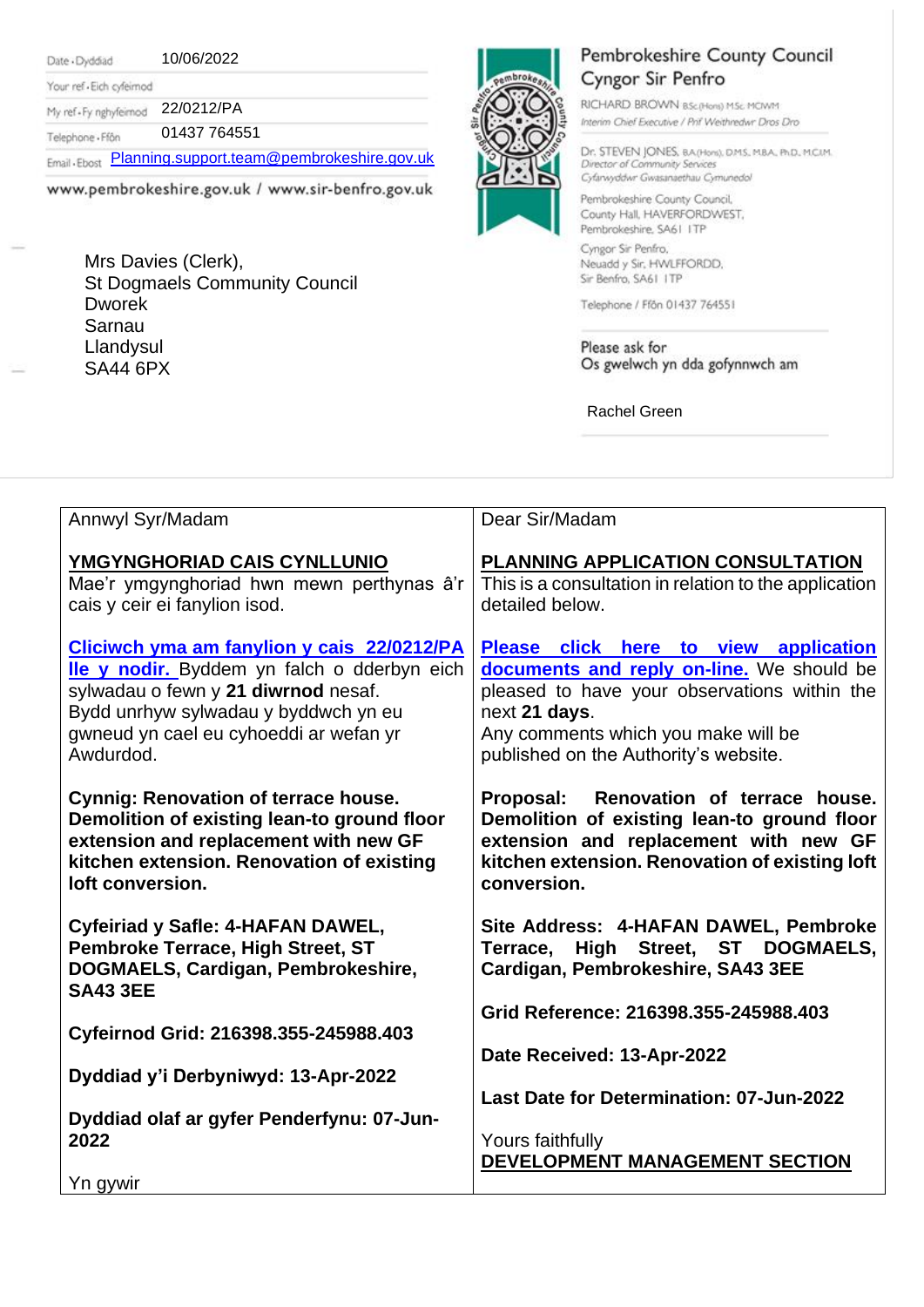Date - Dyddiad

10/06/2022

Your ref - Eich cyfeirnod My ref-Fy nghyfeirnod 22/0212/PA

01437 764551 Telephone - Ffôn

Email . Ebost [Planning.support.team@pembrokeshire.gov.uk](mailto:Planning.support.team@pembrokeshire.gov.uk)

www.pembrokeshire.gov.uk / www.sir-benfro.gov.uk

Mrs Davies (Clerk), St Dogmaels Community Council Dworek Sarnau Llandysul SA44 6PX



## Pembrokeshire County Council Cyngor Sir Penfro

RICHARD BROWN BSc(Hons) MSc MCIWM Interim Chief Executive / Prif Weithredwr Dros Dro

Dr. STEVEN JONES, BA(Hon), DMS, MBA, PhD, MCJM. Director of Community Services Cyfarwyddwr Gwasanaethau Cymunedol

Pembrokeshire County Council, County Hall, HAVERFORDWEST, Pembrokeshire, SA61 ITP Cyngor Sir Penfro,

Neuadd y Sir, HWLFFORDD, Sir Benfro, SA61 ITP

Telephone / Ffon 01437 764551

Please ask for Os gwelwch yn dda gofynnwch am

Rachel Green

| Annwyl Syr/Madam                                                                                                                                                                                                                | Dear Sir/Madam                                                                                                                                                                                                                      |
|---------------------------------------------------------------------------------------------------------------------------------------------------------------------------------------------------------------------------------|-------------------------------------------------------------------------------------------------------------------------------------------------------------------------------------------------------------------------------------|
| YMGYNGHORIAD CAIS CYNLLUNIO<br>Mae'r ymgynghoriad hwn mewn perthynas â'r<br>cais y ceir ei fanylion isod.                                                                                                                       | PLANNING APPLICATION CONSULTATION<br>This is a consultation in relation to the application<br>detailed below.                                                                                                                       |
| Cliciwch yma am fanylion y cais 22/0212/PA<br>lle y nodir. Byddem yn falch o dderbyn eich<br>sylwadau o fewn y 21 diwrnod nesaf.<br>Bydd unrhyw sylwadau y byddwch yn eu<br>gwneud yn cael eu cyhoeddi ar wefan yr<br>Awdurdod. | Please click here to view application<br>documents and reply on-line. We should be<br>pleased to have your observations within the<br>next 21 days.<br>Any comments which you make will be<br>published on the Authority's website. |
| <b>Cynnig: Renovation of terrace house.</b><br>Demolition of existing lean-to ground floor<br>extension and replacement with new GF<br>kitchen extension. Renovation of existing<br>loft conversion.                            | Renovation of terrace house.<br>Proposal:<br>Demolition of existing lean-to ground floor<br>extension and replacement with new GF<br>kitchen extension. Renovation of existing loft<br>conversion.                                  |
| Cyfeiriad y Safle: 4-HAFAN DAWEL,<br>Pembroke Terrace, High Street, ST<br>DOGMAELS, Cardigan, Pembrokeshire,<br><b>SA43 3EE</b>                                                                                                 | Site Address: 4-HAFAN DAWEL, Pembroke<br>High Street, ST DOGMAELS,<br>Terrace,<br>Cardigan, Pembrokeshire, SA43 3EE                                                                                                                 |
| Cyfeirnod Grid: 216398.355-245988.403                                                                                                                                                                                           | Grid Reference: 216398.355-245988.403                                                                                                                                                                                               |
| Dyddiad y'i Derbyniwyd: 13-Apr-2022                                                                                                                                                                                             | Date Received: 13-Apr-2022<br>Last Date for Determination: 07-Jun-2022                                                                                                                                                              |
| Dyddiad olaf ar gyfer Penderfynu: 07-Jun-<br>2022                                                                                                                                                                               | Yours faithfully<br><b>DEVELOPMENT MANAGEMENT SECTION</b>                                                                                                                                                                           |
| Yn gywir                                                                                                                                                                                                                        |                                                                                                                                                                                                                                     |